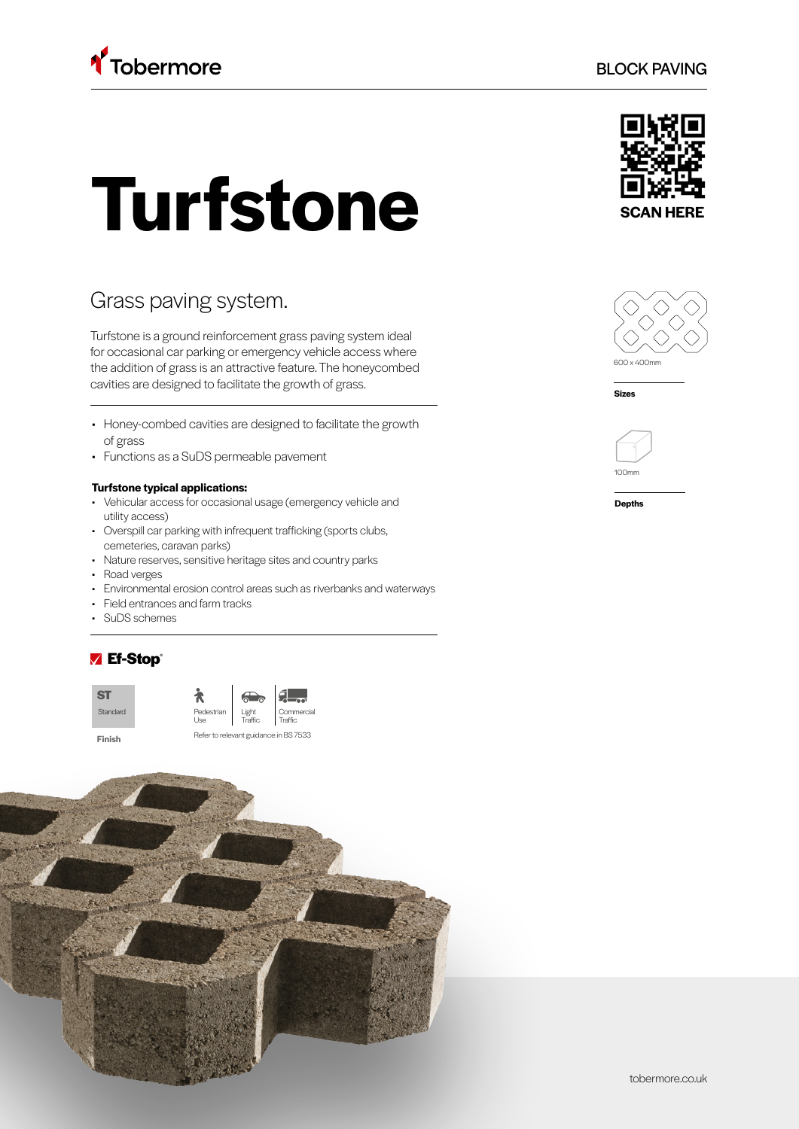

# **Turfstone**

# Grass paving system.

Turfstone is a ground reinforcement grass paving system ideal for occasional car parking or emergency vehicle access where the addition of grass is an attractive feature. The honeycombed cavities are designed to facilitate the growth of grass.

- Honey-combed cavities are designed to facilitate the growth of grass
- Functions as a SuDS permeable pavement

#### **Turfstone typical applications:**

- Vehicular access for occasional usage (emergency vehicle and utility access)
- Overspill car parking with infrequent trafficking (sports clubs, cemeteries, caravan parks)
- Nature reserves, sensitive heritage sites and country parks
- Road verges
- Environmental erosion control areas such as riverbanks and waterways
- Field entrances and farm tracks
- SuDS schemes

## ■ Ef-Stop®





BLOCK PAVING





**Sizes**



**Depths**